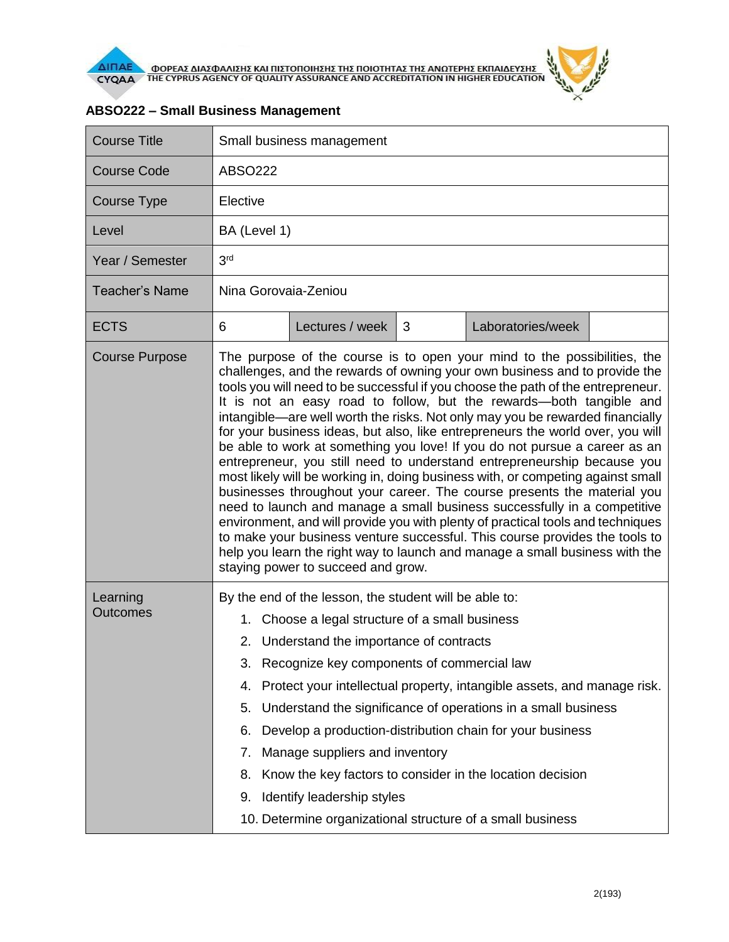

| <b>Course Title</b>         | Small business management                                                                                                                                                                                                                                                                                                                                                                                                                                                                                                                                                                                                                                                                                                                                                                                                                                                                                                                                                                                                                                                                                                                                                      |                 |   |                                                            |  |  |  |
|-----------------------------|--------------------------------------------------------------------------------------------------------------------------------------------------------------------------------------------------------------------------------------------------------------------------------------------------------------------------------------------------------------------------------------------------------------------------------------------------------------------------------------------------------------------------------------------------------------------------------------------------------------------------------------------------------------------------------------------------------------------------------------------------------------------------------------------------------------------------------------------------------------------------------------------------------------------------------------------------------------------------------------------------------------------------------------------------------------------------------------------------------------------------------------------------------------------------------|-----------------|---|------------------------------------------------------------|--|--|--|
| <b>Course Code</b>          | <b>ABSO222</b>                                                                                                                                                                                                                                                                                                                                                                                                                                                                                                                                                                                                                                                                                                                                                                                                                                                                                                                                                                                                                                                                                                                                                                 |                 |   |                                                            |  |  |  |
| Course Type                 | Elective                                                                                                                                                                                                                                                                                                                                                                                                                                                                                                                                                                                                                                                                                                                                                                                                                                                                                                                                                                                                                                                                                                                                                                       |                 |   |                                                            |  |  |  |
| Level                       | BA (Level 1)                                                                                                                                                                                                                                                                                                                                                                                                                                                                                                                                                                                                                                                                                                                                                                                                                                                                                                                                                                                                                                                                                                                                                                   |                 |   |                                                            |  |  |  |
| Year / Semester             | 3 <sup>rd</sup>                                                                                                                                                                                                                                                                                                                                                                                                                                                                                                                                                                                                                                                                                                                                                                                                                                                                                                                                                                                                                                                                                                                                                                |                 |   |                                                            |  |  |  |
| <b>Teacher's Name</b>       | Nina Gorovaia-Zeniou                                                                                                                                                                                                                                                                                                                                                                                                                                                                                                                                                                                                                                                                                                                                                                                                                                                                                                                                                                                                                                                                                                                                                           |                 |   |                                                            |  |  |  |
| <b>ECTS</b>                 | 6                                                                                                                                                                                                                                                                                                                                                                                                                                                                                                                                                                                                                                                                                                                                                                                                                                                                                                                                                                                                                                                                                                                                                                              | Lectures / week | 3 | Laboratories/week                                          |  |  |  |
| <b>Course Purpose</b>       | The purpose of the course is to open your mind to the possibilities, the<br>challenges, and the rewards of owning your own business and to provide the<br>tools you will need to be successful if you choose the path of the entrepreneur.<br>It is not an easy road to follow, but the rewards-both tangible and<br>intangible—are well worth the risks. Not only may you be rewarded financially<br>for your business ideas, but also, like entrepreneurs the world over, you will<br>be able to work at something you love! If you do not pursue a career as an<br>entrepreneur, you still need to understand entrepreneurship because you<br>most likely will be working in, doing business with, or competing against small<br>businesses throughout your career. The course presents the material you<br>need to launch and manage a small business successfully in a competitive<br>environment, and will provide you with plenty of practical tools and techniques<br>to make your business venture successful. This course provides the tools to<br>help you learn the right way to launch and manage a small business with the<br>staying power to succeed and grow. |                 |   |                                                            |  |  |  |
| Learning<br><b>Outcomes</b> | By the end of the lesson, the student will be able to:<br>Choose a legal structure of a small business<br>1.                                                                                                                                                                                                                                                                                                                                                                                                                                                                                                                                                                                                                                                                                                                                                                                                                                                                                                                                                                                                                                                                   |                 |   |                                                            |  |  |  |
|                             | 2. Understand the importance of contracts                                                                                                                                                                                                                                                                                                                                                                                                                                                                                                                                                                                                                                                                                                                                                                                                                                                                                                                                                                                                                                                                                                                                      |                 |   |                                                            |  |  |  |
|                             | Recognize key components of commercial law<br>ა.<br>Protect your intellectual property, intangible assets, and manage risk.<br>4.                                                                                                                                                                                                                                                                                                                                                                                                                                                                                                                                                                                                                                                                                                                                                                                                                                                                                                                                                                                                                                              |                 |   |                                                            |  |  |  |
|                             | Understand the significance of operations in a small business<br>5.                                                                                                                                                                                                                                                                                                                                                                                                                                                                                                                                                                                                                                                                                                                                                                                                                                                                                                                                                                                                                                                                                                            |                 |   |                                                            |  |  |  |
|                             | 6.<br>Develop a production-distribution chain for your business                                                                                                                                                                                                                                                                                                                                                                                                                                                                                                                                                                                                                                                                                                                                                                                                                                                                                                                                                                                                                                                                                                                |                 |   |                                                            |  |  |  |
|                             | Manage suppliers and inventory<br>7.                                                                                                                                                                                                                                                                                                                                                                                                                                                                                                                                                                                                                                                                                                                                                                                                                                                                                                                                                                                                                                                                                                                                           |                 |   |                                                            |  |  |  |
|                             | Know the key factors to consider in the location decision<br>8.                                                                                                                                                                                                                                                                                                                                                                                                                                                                                                                                                                                                                                                                                                                                                                                                                                                                                                                                                                                                                                                                                                                |                 |   |                                                            |  |  |  |
|                             | Identify leadership styles<br>9.                                                                                                                                                                                                                                                                                                                                                                                                                                                                                                                                                                                                                                                                                                                                                                                                                                                                                                                                                                                                                                                                                                                                               |                 |   |                                                            |  |  |  |
|                             |                                                                                                                                                                                                                                                                                                                                                                                                                                                                                                                                                                                                                                                                                                                                                                                                                                                                                                                                                                                                                                                                                                                                                                                |                 |   | 10. Determine organizational structure of a small business |  |  |  |

## **ABSO222 – Small Business Management**

 $\frac{d^2y}{dx^2}$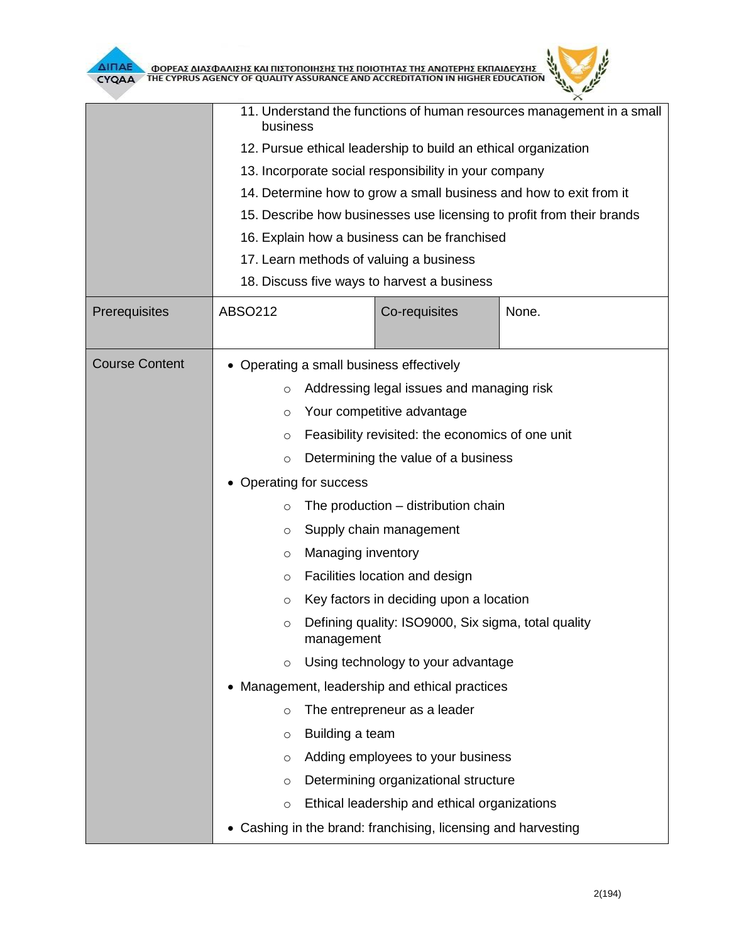

|                       | 11. Understand the functions of human resources management in a small<br>business                    |                    |                                                             |       |  |  |  |
|-----------------------|------------------------------------------------------------------------------------------------------|--------------------|-------------------------------------------------------------|-------|--|--|--|
|                       | 12. Pursue ethical leadership to build an ethical organization                                       |                    |                                                             |       |  |  |  |
|                       | 13. Incorporate social responsibility in your company                                                |                    |                                                             |       |  |  |  |
|                       | 14. Determine how to grow a small business and how to exit from it                                   |                    |                                                             |       |  |  |  |
|                       | 15. Describe how businesses use licensing to profit from their brands                                |                    |                                                             |       |  |  |  |
|                       | 16. Explain how a business can be franchised                                                         |                    |                                                             |       |  |  |  |
|                       | 17. Learn methods of valuing a business                                                              |                    |                                                             |       |  |  |  |
|                       | 18. Discuss five ways to harvest a business                                                          |                    |                                                             |       |  |  |  |
| Prerequisites         | ABSO212                                                                                              |                    | Co-requisites                                               | None. |  |  |  |
|                       |                                                                                                      |                    |                                                             |       |  |  |  |
| <b>Course Content</b> | • Operating a small business effectively                                                             |                    |                                                             |       |  |  |  |
|                       | Addressing legal issues and managing risk<br>$\circ$                                                 |                    |                                                             |       |  |  |  |
|                       | Your competitive advantage<br>$\circ$                                                                |                    |                                                             |       |  |  |  |
|                       | Feasibility revisited: the economics of one unit<br>$\circ$                                          |                    |                                                             |       |  |  |  |
|                       | Determining the value of a business<br>$\circ$                                                       |                    |                                                             |       |  |  |  |
|                       | Operating for success                                                                                |                    |                                                             |       |  |  |  |
|                       | The production - distribution chain<br>$\circ$                                                       |                    |                                                             |       |  |  |  |
|                       | Supply chain management<br>O                                                                         |                    |                                                             |       |  |  |  |
|                       | O                                                                                                    | Managing inventory |                                                             |       |  |  |  |
|                       | $\circ$                                                                                              |                    | Facilities location and design                              |       |  |  |  |
|                       | $\circ$                                                                                              |                    | Key factors in deciding upon a location                     |       |  |  |  |
|                       | O                                                                                                    | management         | Defining quality: ISO9000, Six sigma, total quality         |       |  |  |  |
|                       | $\circ$                                                                                              |                    | Using technology to your advantage                          |       |  |  |  |
|                       | Management, leadership and ethical practices<br>$\bullet$<br>The entrepreneur as a leader<br>$\circ$ |                    |                                                             |       |  |  |  |
|                       |                                                                                                      |                    |                                                             |       |  |  |  |
|                       | $\circ$                                                                                              | Building a team    |                                                             |       |  |  |  |
|                       | O                                                                                                    |                    | Adding employees to your business                           |       |  |  |  |
|                       | $\circ$                                                                                              |                    | Determining organizational structure                        |       |  |  |  |
|                       | Ethical leadership and ethical organizations<br>$\circ$                                              |                    |                                                             |       |  |  |  |
|                       |                                                                                                      |                    | Cashing in the brand: franchising, licensing and harvesting |       |  |  |  |

 $\theta$  $\mathbb{R}$